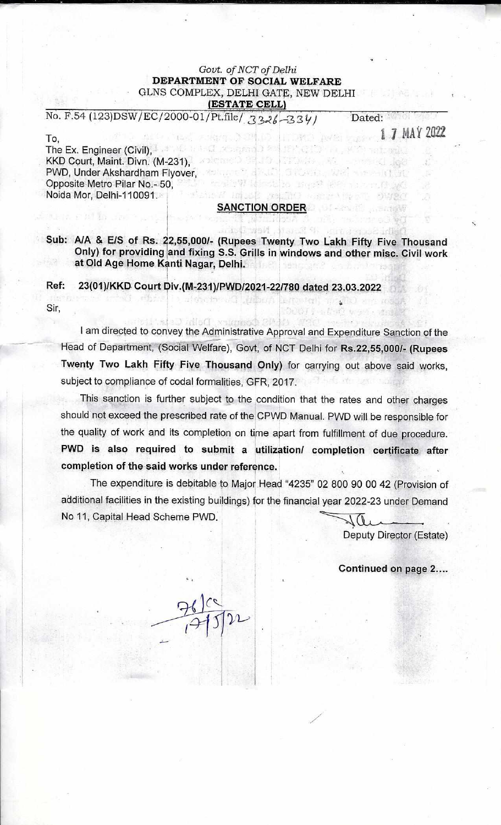## *Govt. of NCT of Delhi*  **DEPARTMENT OF SOCIAL WELFARE**  GLNS COMPLEX, DELHI GATE, NEW DELHI **(ESTATE CELL)**

No. F.54 (123)DSW/EC/2000-01/Pt.file/  $\frac{2226}{334}$ 

1 7 MAY 2022

Dated:

heart and

**ARANTOR** 

a service Spot

treal deer

i anazioni

To, The Ex. Engineer (Civil),  $\frac{1}{2}$  , the first of proposition  $0\leq\frac{1}{2}$  is the  $\frac{1}{2}$ KKD Court, Maint. Divn. (M-231), PWD, Under Akshardham Flyover, Opposite Metro Pilar No.- 50, Noida Mor, Delhi-110091.

### **SANCTION ORDER**

Laisse valstid av

sontist,

11100000 00000

SEWEL WA

**INSTANCE** 

jestlio mez<sup>a</sup>

**Sub: A/A & EIS of Rs. 22,55,000/- (Rupees Twenty Two Lakh Fifty Five Thousand Only) for providing land fixing S.S. Grills in windows and other misc. Civil work at Old Age Home Kanti Nagar, Delhi.** 

**Ref: 23(01)/KKD Court Div.(M-231)/PWD/2021-22/780 dated 23.03.2022** 

afthement Limingh

Sir,

I am directed to convey the Administrative Approval and Expenditure Sanction of the Head of Department, (Social Welfare), Govt, of NCT Delhi for **Rs.22,55,000/- (Rupees Twenty Two Lakh Fifty Five Thousand Only)** for carrying out above said works, subject to compliance of codal formalities, GFR, 2017.

This sanction is further subject to the condition that the rates and other charges should not exceed the prescribed rate of the CPWD Manual. PWD will be responsible for the quality of work and its completion on time apart from fulfillment of due procedure. **PWD is also required to submit a utilization/ completion certificate after completion of the said works under reference.** 

The expenditure is debitable to Major Head "4235" 02 800 90 00 42 (Provision of additional facilities in the existing buildings) for the financial year 2022-23 under Demand No 11, Capital Head Scheme PWD.  $\mathcal{N}(1)$ 

Deputy Director (Estate)

•

**Continued on page 2....**